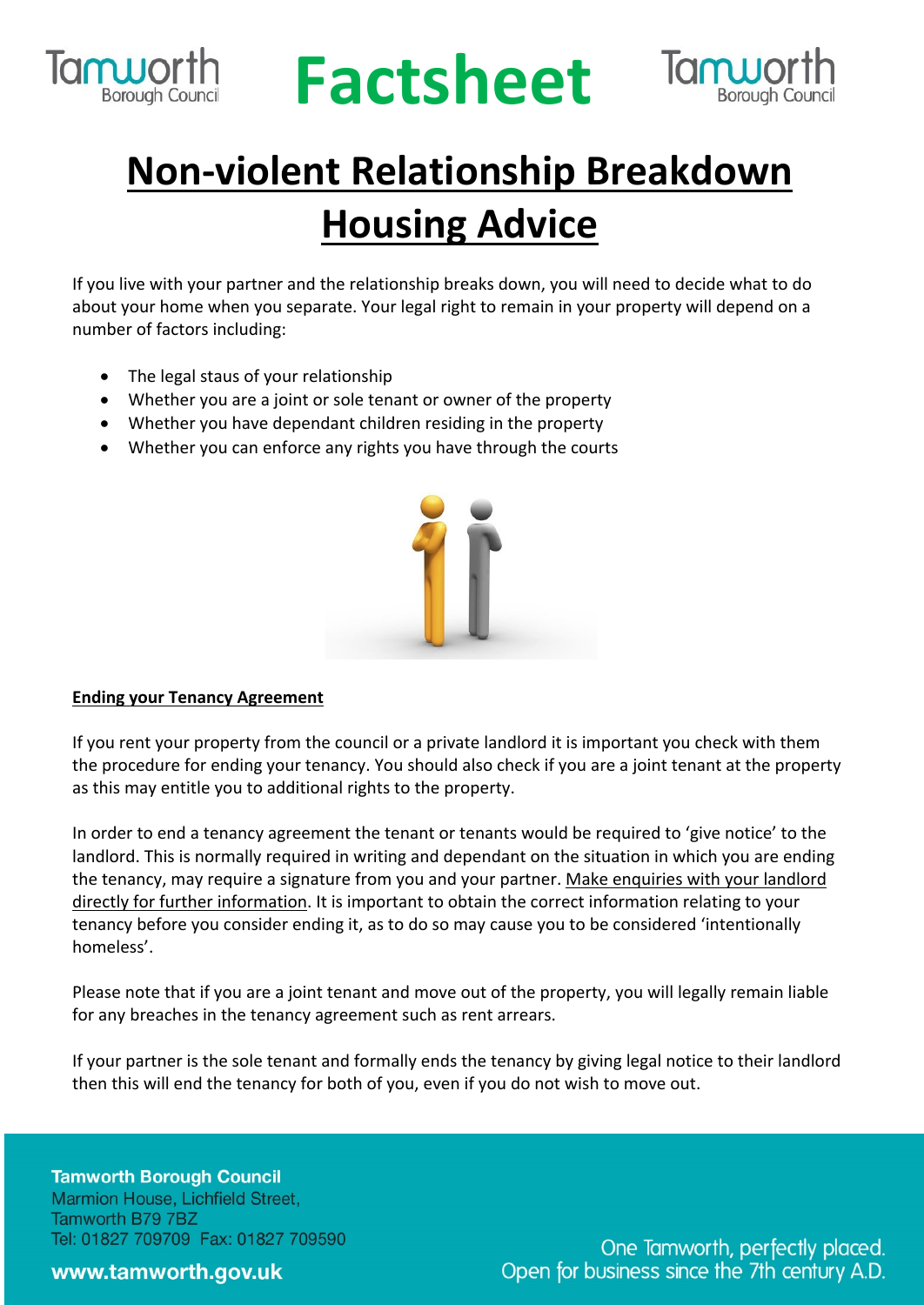

## **RUPOLIC Factsheet**



### **Non-violent Relationship Breakdown Housing Advice**

If you live with your partner and the relationship breaks down, you will need to decide what to do about your home when you separate. Your legal right to remain in your property will depend on a number of factors including:

- The legal staus of your relationship
- Whether you are a joint or sole tenant or owner of the property
- Whether you have dependant children residing in the property
- Whether you can enforce any rights you have through the courts



#### **Ending your Tenancy Agreement**

If you rent your property from the council or a private landlord it is important you check with them the procedure for ending your tenancy. You should also check if you are a joint tenant at the property as this may entitle you to additional rights to the property.

In order to end a tenancy agreement the tenant or tenants would be required to 'give notice' to the landlord. This is normally required in writing and dependant on the situation in which you are ending the tenancy, may require a signature from you and your partner. Make enquiries with your landlord directly for further information. It is important to obtain the correct information relating to your tenancy before you consider ending it, as to do so may cause you to be considered 'intentionally homeless'.

Please note that if you are a joint tenant and move out of the property, you will legally remain liable for any breaches in the tenancy agreement such as rent arrears.

If your partner is the sole tenant and formally ends the tenancy by giving legal notice to their landlord then this will end the tenancy for both of you, even if you do not wish to move out.

**Tamworth Borough Council** Marmion House, Lichfield Street, Tamworth B79 7BZ Tel: 01827 709709 Fax: 01827 709590

#### www.tamworth.gov.uk

One Tamworth, perfectly placed. Open for business since the 7th century A.D.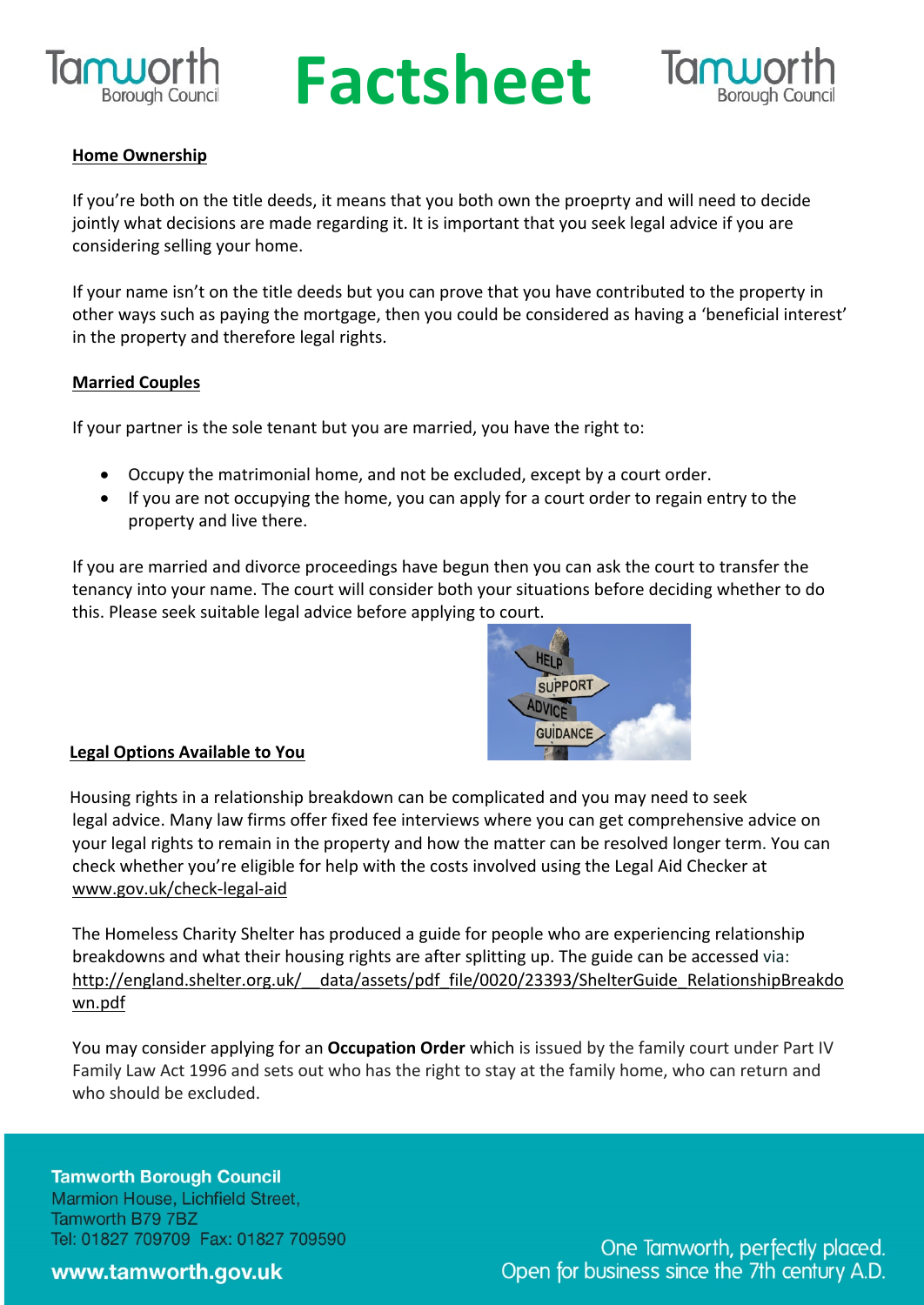

# **RUPOLING Factsheet**



#### **Home Ownership**

If you're both on the title deeds, it means that you both own the proeprty and will need to decide jointly what decisions are made regarding it. It is important that you seek legal advice if you are considering selling your home.

If your name isn't on the title deeds but you can prove that you have contributed to the property in other ways such as paying the mortgage, then you could be considered as having a 'beneficial interest' in the property and therefore legal rights.

#### **Married Couples**

If your partner is the sole tenant but you are married, you have the right to:

- Occupy the matrimonial home, and not be excluded, except by a court order.
- If you are not occupying the home, you can apply for a court order to regain entry to the property and live there.

If you are married and divorce proceedings have begun then you can ask the court to transfer the tenancy into your name. The court will consider both your situations before deciding whether to do this. Please seek suitable legal advice before applying to court.



#### **Legal Options Available to You**

 Housing rights in a relationship breakdown can be complicated and you may need to seek legal advice. Many law firms offer fixed fee interviews where you can get comprehensive advice on your legal rights to remain in the property and how the matter can be resolved longer term. You can check whether you're eligible for help with the costs involved using the Legal Aid Checker at www.gov.uk/check-legal-aid

The Homeless Charity Shelter has produced a guide for people who are experiencing relationship breakdowns and what their housing rights are after splitting up. The guide can be accessed via: http://england.shelter.org.uk/ data/assets/pdf file/0020/23393/ShelterGuide RelationshipBreakdo wn.pdf

You may consider applying for an **Occupation Order** which is issued by the family court under Part IV Family Law Act 1996 and sets out who has the right to stay at the family home, who can return and who should be excluded.

**Tamworth Borough Council** Marmion House, Lichfield Street, Tamworth B79 7BZ Tel: 01827 709709 Fax: 01827 709590

#### www.tamworth.gov.uk

One Tamworth, perfectly placed. Open for business since the 7th century A.D.